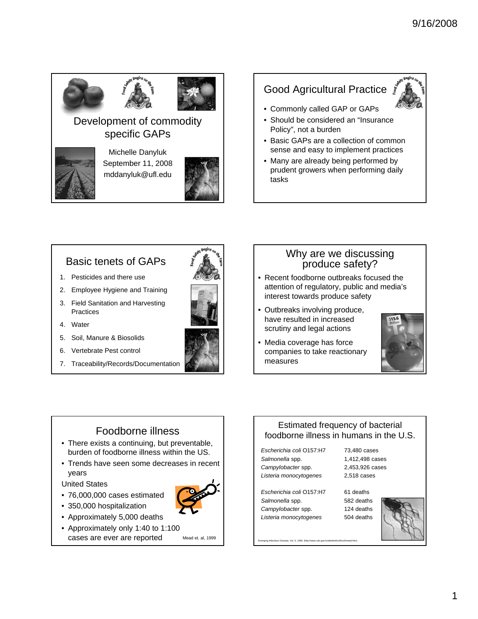

#### Development of commodity specific GAPs



Michelle Danyluk September 11, 2008 mddanyluk@ufl.edu



# Good Agricultural Practice



- Should be considered an "Insurance Policy", not a burden
- Basic GAPs are a collection of common sense and easy to implement practices
- Many are already being performed by prudent growers when performing daily tasks

#### Basic tenets of GAPs

- 1. Pesticides and there use
- 2. Employee Hygiene and Training
- 3. Field Sanitation and Harvesting **Practices**
- 4. Water
- 5. Soil, Manure & Biosolids
- 6. Vertebrate Pest control
- 7. Traceability/Records/Documentation





- Recent foodborne outbreaks focused the attention of regulatory, public and media's interest towards produce safety
- Outbreaks involving produce, have resulted in increased scrutiny and legal actions
- Media coverage has force companies to take reactionary measures



## Foodborne illness

- There exists a continuing, but preventable, burden of foodborne illness within the US.
- Trends have seen some decreases in recent years

United States

- 76,000,000 cases estimated
- 350,000 hospitalization
- Approximately 5,000 deaths
- Approximately only 1:40 to 1:100 cases are ever are reported Mead et. al, 1999

#### Estimated frequency of bacterial foodborne illness in humans in the U.S.

*Escherichia coli* O157:H7 *Salmonella* spp. *Campylobacter* spp. *Listeria monocytogenes*

*Escherichia coli* O157:H7 *Salmonella* spp. *Campylobacter* spp.

*Listeria monocytogenes*

73,480 cases 1,412,498 cases 2,453,926 cases 2,518 cases

61 deaths



Emerging Infectious Disease, Vol. 5, 1999. (http://www.cdc.gov/ncidod/eid/vol5no5/mead.htm)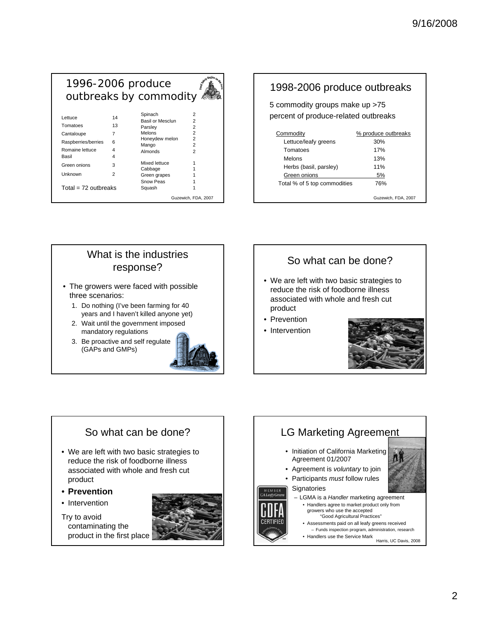#### 1996-2006 produce outbreaks by commodity Lettuce 14 Spinach 2 Basil or Mesclun 2

|                        |    | <b>B</b> asii of Mescium |                     |
|------------------------|----|--------------------------|---------------------|
| Tomatoes               | 13 | Parsley                  | 2                   |
| Cantaloupe             |    | <b>Melons</b>            | 2                   |
| Raspberries/berries    | 6  | Honeydew melon           | 2                   |
|                        |    | Mango                    | 2                   |
| Romaine lettuce        | 4  | Almonds                  | 2                   |
| Basil                  | 4  |                          |                     |
| Green onions           | 3  | Mixed lettuce            |                     |
|                        |    | Cabbage                  |                     |
| Unknown                | 2  | Green grapes             |                     |
|                        |    | Snow Peas                |                     |
| $Total = 72$ outbreaks |    | Squash                   |                     |
|                        |    |                          | Guzewich, FDA, 2007 |

#### 1998-2006 produce outbreaks 5 commodity groups make up >75 percent of produce-related outbreaks Commodity 6 % produce outbreaks Lettuce/leafy greens 30% Tomatoes 17% Melons 13% Herbs (basil, parsley) 11% Green onions 5% Total % of 5 top commodities 76%

Guzewich, FDA, 2007

# What is the industries response?

- The growers were faced with possible three scenarios:
	- 1. Do nothing (I've been farming for 40 years and I haven't killed anyone yet)
	- 2. Wait until the government imposed mandatory regulations
	- 3. Be proactive and self regulate (GAPs and GMPs)



# So what can be done?

- We are left with two basic strategies to reduce the risk of foodborne illness associated with whole and fresh cut product
- Prevention
- Intervention



## So what can be done?

- We are left with two basic strategies to reduce the risk of foodborne illness associated with whole and fresh cut product
- **Prevention**
- Intervention

Try to avoid contaminating the product in the first place



# LG Marketing Agreement

- Initiation of California Marketing Agreement 01/2007
- Agreement is *voluntary* to join
- Participants *must* follow rules

#### **Signatories**

- LGMA is a *Handler* marketing agreement
	- Handlers agree to market product only from growers who use the accepted
	- "Good Agricultural Practices" • Assessments paid on all leafy greens received
	- Funds inspection program, administration, research

• Handlers use the Service Mark Harris, UC Davis, 2008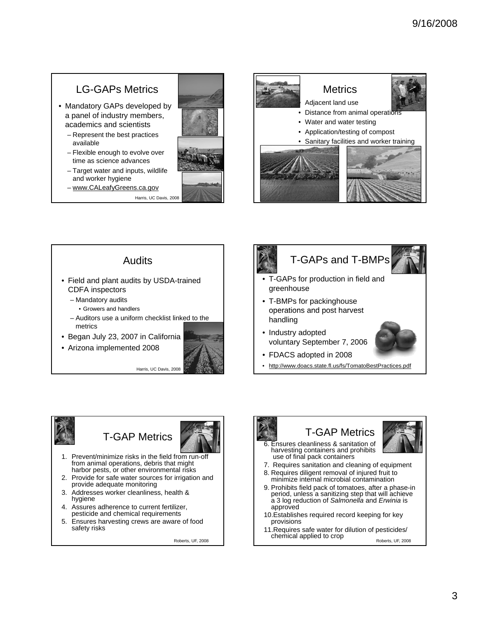# LG-GAPs Metrics

- Mandatory GAPs developed by a panel of industry members, academics and scientists
	- Represent the best practices available
	- Flexible enough to evolve over time as science advances
	- Target water and inputs, wildlife and worker hygiene
	- www.CALeafyGreens.ca.gov

Harris, UC Davis, 2008



#### Audits • Field and plant audits by USDA-trained CDFA inspectors – Mandatory audits • Growers and handlers – Auditors use a uniform checklist linked to the metrics • Began July 23, 2007 in California

• Arizona implemented 2008





# T-GAPs and T-BMPs



- T-GAPs for production in field and greenhouse
- T-BMPs for packinghouse operations and post harvest handling
- Industry adopted voluntary September 7, 2006



- FDACS adopted in 2008
- http://www.doacs.state.fl.us/fs/TomatoBestPractices.pdf







- 1. Prevent/minimize risks in the field from run-off from animal operations, debris that might harbor pests, or other environmental risks
- 2. Provide for safe water sources for irrigation and provide adequate monitoring
- 3. Addresses worker cleanliness, health & hygiene
- 4. Assures adherence to current fertilizer, pesticide and chemical requirements
- 5. Ensures harvesting crews are aware of food safety risks

Roberts, UF, 2008

# T-GAP Metrics



- 6. Ensures cleanliness & sanitation of harvesting containers and prohibits use of final pack containers
- 7. Requires sanitation and cleaning of equipment
- 8. Requires diligent removal of injured fruit to minimize internal microbial contamination
- 9. Prohibits field pack of tomatoes, after a phase-in period, unless a sanitizing step that will achieve a 3 log reduction of *Salmonella* and *Erwinia* is approved
- 10.Establishes required record keeping for key provisions
- 11.Requires safe water for dilution of pesticides/ chemical applied to crop  $R_{\text{oberts, UF, 2008}}$